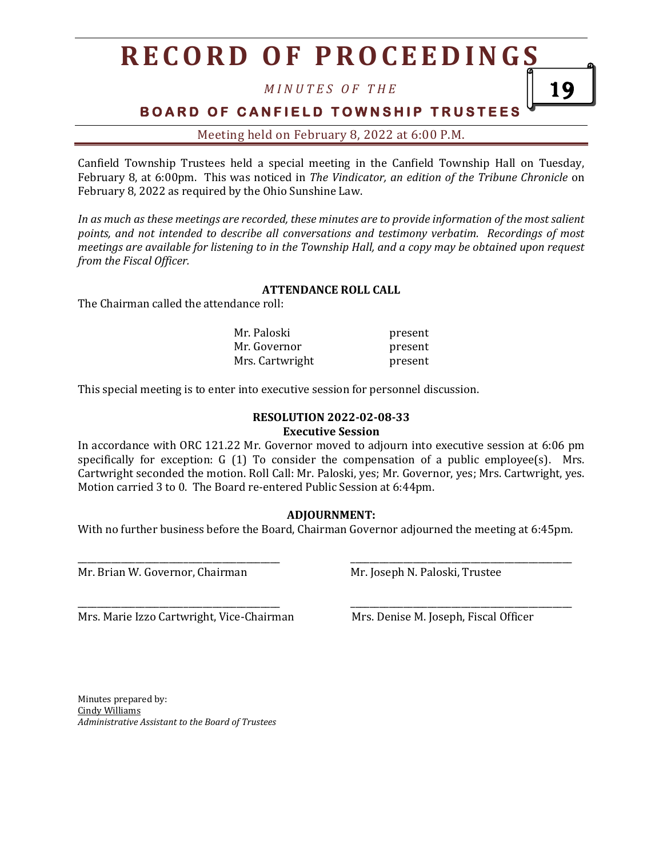# **R E C O R D O F P R O C E E D I N G S**

*M I N U T E S O F T H E*

**BOARD OF CANFIELD TOWNSHIP TRUSTEES** 

Meeting held on February 8, 2022 at 6:00 P.M.

Canfield Township Trustees held a special meeting in the Canfield Township Hall on Tuesday, February 8, at 6:00pm. This was noticed in *The Vindicator, an edition of the Tribune Chronicle* on February 8, 2022 as required by the Ohio Sunshine Law.

*In as much as these meetings are recorded, these minutes are to provide information of the most salient points, and not intended to describe all conversations and testimony verbatim. Recordings of most meetings are available for listening to in the Township Hall, and a copy may be obtained upon request from the Fiscal Officer.*

#### **ATTENDANCE ROLL CALL**

The Chairman called the attendance roll:

| Mr. Paloski     | present |
|-----------------|---------|
| Mr. Governor    | present |
| Mrs. Cartwright | present |

This special meeting is to enter into executive session for personnel discussion.

## **RESOLUTION 2022-02-08-33**

**Executive Session**

In accordance with ORC 121.22 Mr. Governor moved to adjourn into executive session at 6:06 pm specifically for exception: G  $(1)$  To consider the compensation of a public employee $(s)$ . Mrs. Cartwright seconded the motion. Roll Call: Mr. Paloski, yes; Mr. Governor, yes; Mrs. Cartwright, yes. Motion carried 3 to 0. The Board re-entered Public Session at 6:44pm.

### **ADJOURNMENT:**

With no further business before the Board, Chairman Governor adjourned the meeting at 6:45pm.

\_\_\_\_\_\_\_\_\_\_\_\_\_\_\_\_\_\_\_\_\_\_\_\_\_\_\_\_\_\_\_\_\_\_\_\_\_\_\_\_\_\_ \_\_\_\_\_\_\_\_\_\_\_\_\_\_\_\_\_\_\_\_\_\_\_\_\_\_\_\_\_\_\_\_\_\_\_\_\_\_\_\_\_\_\_\_\_\_

\_\_\_\_\_\_\_\_\_\_\_\_\_\_\_\_\_\_\_\_\_\_\_\_\_\_\_\_\_\_\_\_\_\_\_\_\_\_\_\_\_\_ \_\_\_\_\_\_\_\_\_\_\_\_\_\_\_\_\_\_\_\_\_\_\_\_\_\_\_\_\_\_\_\_\_\_\_\_\_\_\_\_\_\_\_\_\_\_

Mr. Brian W. Governor, Chairman Mr. Joseph N. Paloski, Trustee

Mrs. Marie Izzo Cartwright, Vice-Chairman Mrs. Denise M. Joseph, Fiscal Officer

19

Minutes prepared by: Cindy Williams *Administrative Assistant to the Board of Trustees*